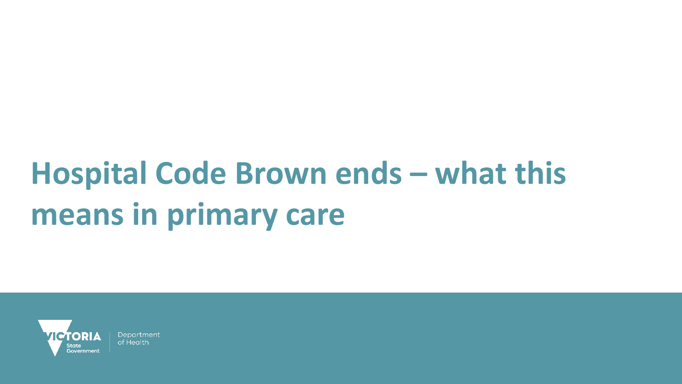# **Hospital Code Brown ends – what this means in primary care**

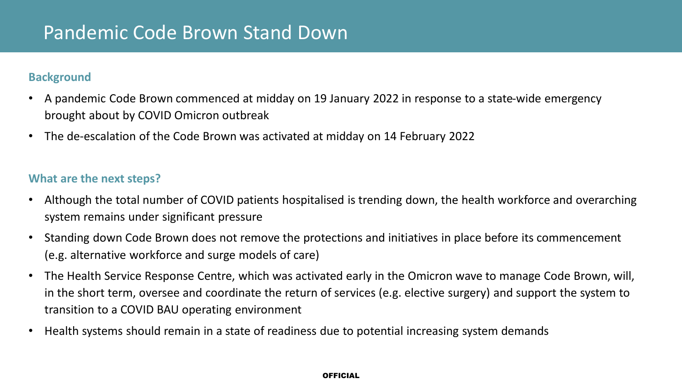### **Background**

- A pandemic Code Brown commenced at midday on 19 January 2022 in response to a state-wide emergency brought about by COVID Omicron outbreak
- The de-escalation of the Code Brown was activated at midday on 14 February 2022

### **What are the next steps?**

- Although the total number of COVID patients hospitalised is trending down, the health workforce and overarching system remains under significant pressure
- Standing down Code Brown does not remove the protections and initiatives in place before its commencement (e.g. alternative workforce and surge models of care)
- The Health Service Response Centre, which was activated early in the Omicron wave to manage Code Brown, will, in the short term, oversee and coordinate the return of services (e.g. elective surgery) and support the system to transition to a COVID BAU operating environment
- Health systems should remain in a state of readiness due to potential increasing system demands

#### **OFFICIAL**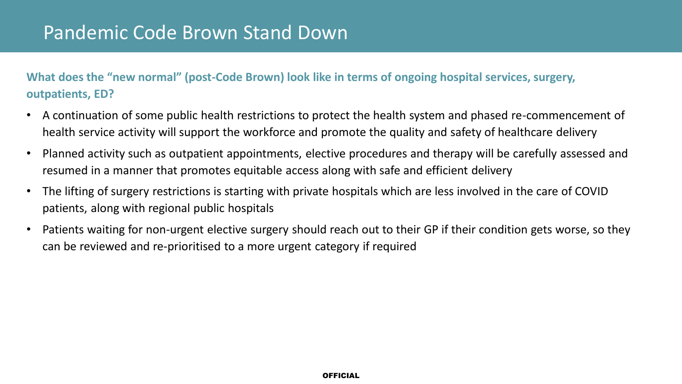### Pandemic Code Brown Stand Down

**What does the "new normal" (post-Code Brown) look like in terms of ongoing hospital services, surgery, outpatients, ED?**

- A continuation of some public health restrictions to protect the health system and phased re-commencement of health service activity will support the workforce and promote the quality and safety of healthcare delivery
- Planned activity such as outpatient appointments, elective procedures and therapy will be carefully assessed and resumed in a manner that promotes equitable access along with safe and efficient delivery
- The lifting of surgery restrictions is starting with private hospitals which are less involved in the care of COVID patients, along with regional public hospitals
- Patients waiting for non-urgent elective surgery should reach out to their GP if their condition gets worse, so they can be reviewed and re-prioritised to a more urgent category if required